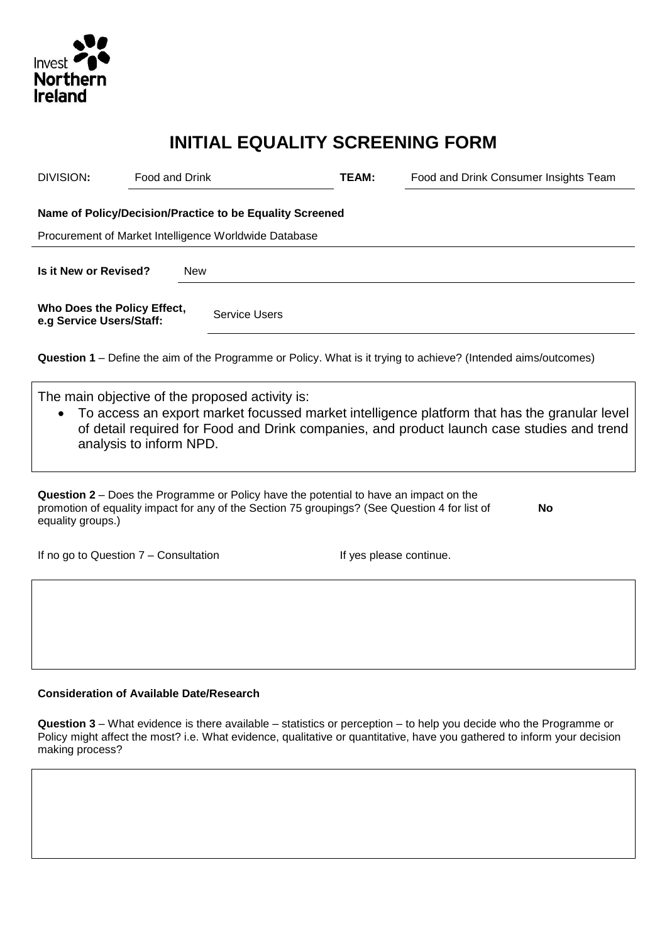

# **INITIAL EQUALITY SCREENING FORM**

| DIVISION:                                                                                                         | <b>Food and Drink</b>   |            |                                                                                              | TEAM: | Food and Drink Consumer Insights Team                                                                                                                                                      |  |  |  |
|-------------------------------------------------------------------------------------------------------------------|-------------------------|------------|----------------------------------------------------------------------------------------------|-------|--------------------------------------------------------------------------------------------------------------------------------------------------------------------------------------------|--|--|--|
| Name of Policy/Decision/Practice to be Equality Screened<br>Procurement of Market Intelligence Worldwide Database |                         |            |                                                                                              |       |                                                                                                                                                                                            |  |  |  |
| Is it New or Revised?                                                                                             |                         | <b>New</b> |                                                                                              |       |                                                                                                                                                                                            |  |  |  |
| Who Does the Policy Effect,<br>e.g Service Users/Staff:                                                           |                         |            | Service Users                                                                                |       |                                                                                                                                                                                            |  |  |  |
|                                                                                                                   |                         |            |                                                                                              |       | <b>Question 1</b> – Define the aim of the Programme or Policy. What is it trying to achieve? (Intended aims/outcomes)                                                                      |  |  |  |
| $\bullet$                                                                                                         | analysis to inform NPD. |            | The main objective of the proposed activity is:                                              |       | To access an export market focussed market intelligence platform that has the granular level<br>of detail required for Food and Drink companies, and product launch case studies and trend |  |  |  |
|                                                                                                                   |                         |            | <b>Question 2 – Does the Programme or Policy have the potential to have an impact on the</b> |       |                                                                                                                                                                                            |  |  |  |

**Question 2** – Does the Programme or Policy have the potential to have an impact on the promotion of equality impact for any of the Section 75 groupings? (See Question 4 for list of equality groups.) **No**

If no go to Question 7 – Consultation If yes please continue.

## **Consideration of Available Date/Research**

**Question 3** – What evidence is there available – statistics or perception – to help you decide who the Programme or Policy might affect the most? i.e. What evidence, qualitative or quantitative, have you gathered to inform your decision making process?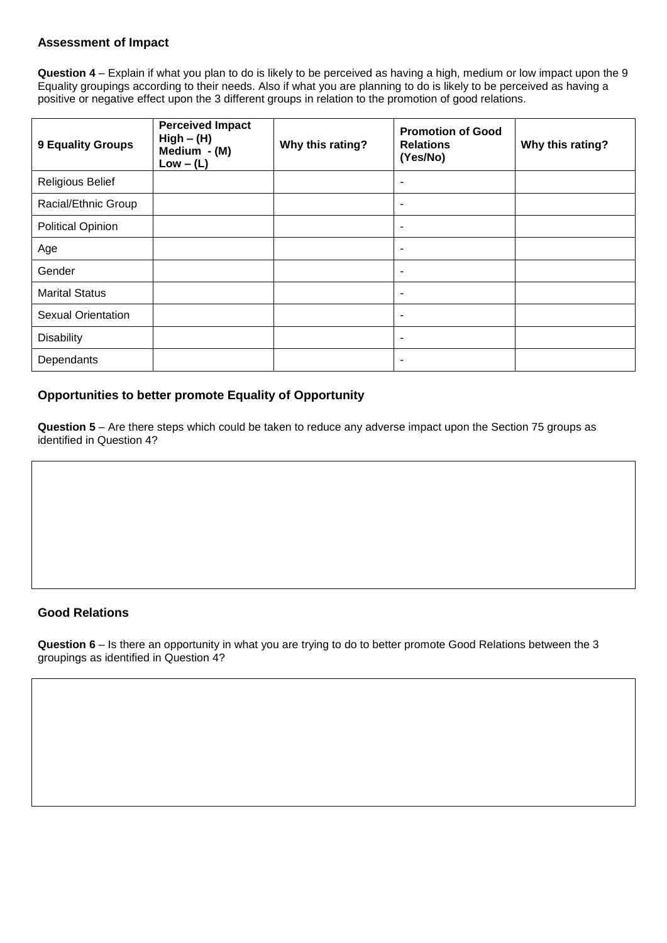## **Assessment of Impact**

**Question 4** – Explain if what you plan to do is likely to be perceived as having a high, medium or low impact upon the 9 Equality groupings according to their needs. Also if what you are planning to do is likely to be perceived as having a positive or negative effect upon the 3 different groups in relation to the promotion of good relations.

| 9 Equality Groups         | <b>Perceived Impact</b><br>$High - (H)$<br>Medium - (M)<br>$Low - (L)$ | Why this rating? | <b>Promotion of Good</b><br><b>Relations</b><br>(Yes/No) | Why this rating? |
|---------------------------|------------------------------------------------------------------------|------------------|----------------------------------------------------------|------------------|
| <b>Religious Belief</b>   |                                                                        |                  | $\overline{\phantom{a}}$                                 |                  |
| Racial/Ethnic Group       |                                                                        |                  | $\overline{\phantom{a}}$                                 |                  |
| <b>Political Opinion</b>  |                                                                        |                  | ٠                                                        |                  |
| Age                       |                                                                        |                  | $\overline{\phantom{a}}$                                 |                  |
| Gender                    |                                                                        |                  | $\overline{\phantom{a}}$                                 |                  |
| <b>Marital Status</b>     |                                                                        |                  | ٠                                                        |                  |
| <b>Sexual Orientation</b> |                                                                        |                  | ٠                                                        |                  |
| <b>Disability</b>         |                                                                        |                  | ۰                                                        |                  |
| Dependants                |                                                                        |                  | ۰                                                        |                  |

#### **Opportunities to better promote Equality of Opportunity**

**Question 5** – Are there steps which could be taken to reduce any adverse impact upon the Section 75 groups as identified in Question 4?

#### **Good Relations**

**Question 6** – Is there an opportunity in what you are trying to do to better promote Good Relations between the 3 groupings as identified in Question 4?